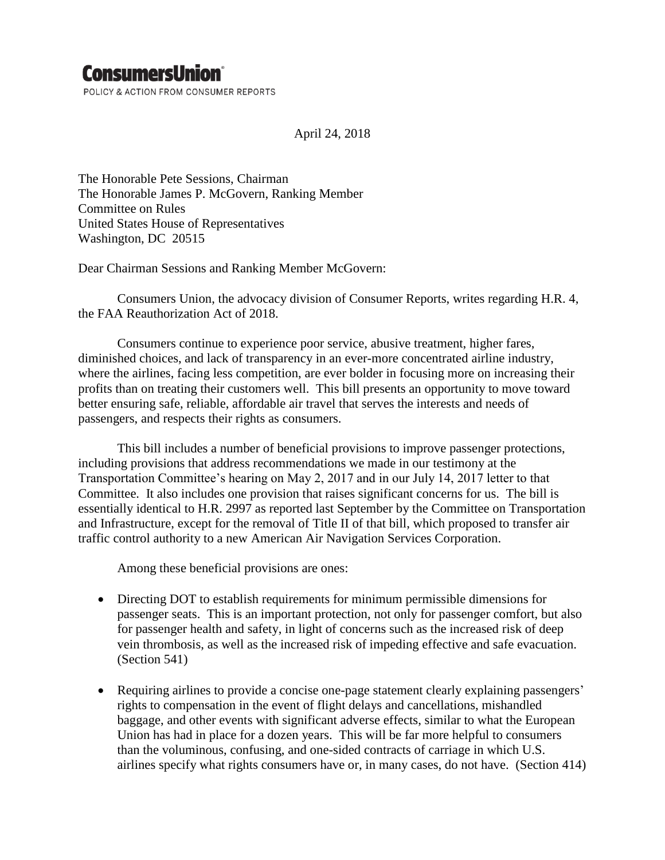# **ConsumersUnion**®

POLICY & ACTION FROM CONSUMER REPORTS

April 24, 2018

The Honorable Pete Sessions, Chairman The Honorable James P. McGovern, Ranking Member Committee on Rules United States House of Representatives Washington, DC 20515

Dear Chairman Sessions and Ranking Member McGovern:

Consumers Union, the advocacy division of Consumer Reports, writes regarding H.R. 4, the FAA Reauthorization Act of 2018.

Consumers continue to experience poor service, abusive treatment, higher fares, diminished choices, and lack of transparency in an ever-more concentrated airline industry, where the airlines, facing less competition, are ever bolder in focusing more on increasing their profits than on treating their customers well. This bill presents an opportunity to move toward better ensuring safe, reliable, affordable air travel that serves the interests and needs of passengers, and respects their rights as consumers.

This bill includes a number of beneficial provisions to improve passenger protections, including provisions that address recommendations we made in our testimony at the Transportation Committee's hearing on May 2, 2017 and in our July 14, 2017 letter to that Committee. It also includes one provision that raises significant concerns for us. The bill is essentially identical to H.R. 2997 as reported last September by the Committee on Transportation and Infrastructure, except for the removal of Title II of that bill, which proposed to transfer air traffic control authority to a new American Air Navigation Services Corporation.

Among these beneficial provisions are ones:

- Directing DOT to establish requirements for minimum permissible dimensions for passenger seats. This is an important protection, not only for passenger comfort, but also for passenger health and safety, in light of concerns such as the increased risk of deep vein thrombosis, as well as the increased risk of impeding effective and safe evacuation. (Section 541)
- Requiring airlines to provide a concise one-page statement clearly explaining passengers' rights to compensation in the event of flight delays and cancellations, mishandled baggage, and other events with significant adverse effects, similar to what the European Union has had in place for a dozen years. This will be far more helpful to consumers than the voluminous, confusing, and one-sided contracts of carriage in which U.S. airlines specify what rights consumers have or, in many cases, do not have. (Section 414)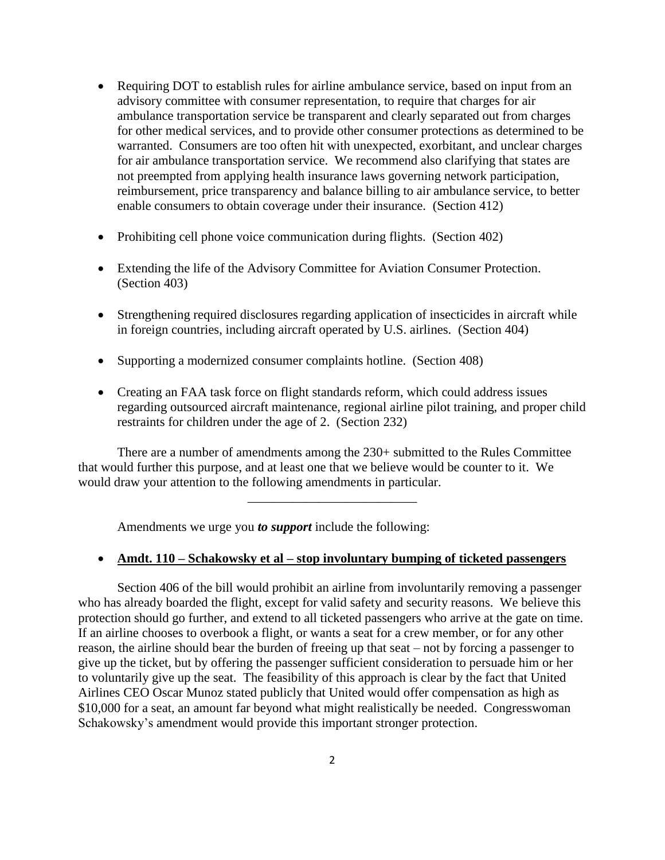- Requiring DOT to establish rules for airline ambulance service, based on input from an advisory committee with consumer representation, to require that charges for air ambulance transportation service be transparent and clearly separated out from charges for other medical services, and to provide other consumer protections as determined to be warranted. Consumers are too often hit with unexpected, exorbitant, and unclear charges for air ambulance transportation service. We recommend also clarifying that states are not preempted from applying health insurance laws governing network participation, reimbursement, price transparency and balance billing to air ambulance service, to better enable consumers to obtain coverage under their insurance. (Section 412)
- Prohibiting cell phone voice communication during flights. (Section 402)
- Extending the life of the Advisory Committee for Aviation Consumer Protection. (Section 403)
- Strengthening required disclosures regarding application of insecticides in aircraft while in foreign countries, including aircraft operated by U.S. airlines. (Section 404)
- Supporting a modernized consumer complaints hotline. (Section 408)
- Creating an FAA task force on flight standards reform, which could address issues regarding outsourced aircraft maintenance, regional airline pilot training, and proper child restraints for children under the age of 2. (Section 232)

There are a number of amendments among the 230+ submitted to the Rules Committee that would further this purpose, and at least one that we believe would be counter to it. We would draw your attention to the following amendments in particular.

\_\_\_\_\_\_\_\_\_\_\_\_\_\_\_\_\_\_\_\_\_\_\_\_\_\_

Amendments we urge you *to support* include the following:

#### **Amdt. 110 – Schakowsky et al – stop involuntary bumping of ticketed passengers**

Section 406 of the bill would prohibit an airline from involuntarily removing a passenger who has already boarded the flight, except for valid safety and security reasons. We believe this protection should go further, and extend to all ticketed passengers who arrive at the gate on time. If an airline chooses to overbook a flight, or wants a seat for a crew member, or for any other reason, the airline should bear the burden of freeing up that seat – not by forcing a passenger to give up the ticket, but by offering the passenger sufficient consideration to persuade him or her to voluntarily give up the seat. The feasibility of this approach is clear by the fact that United Airlines CEO Oscar Munoz stated publicly that United would offer compensation as high as \$10,000 for a seat, an amount far beyond what might realistically be needed. Congresswoman Schakowsky's amendment would provide this important stronger protection.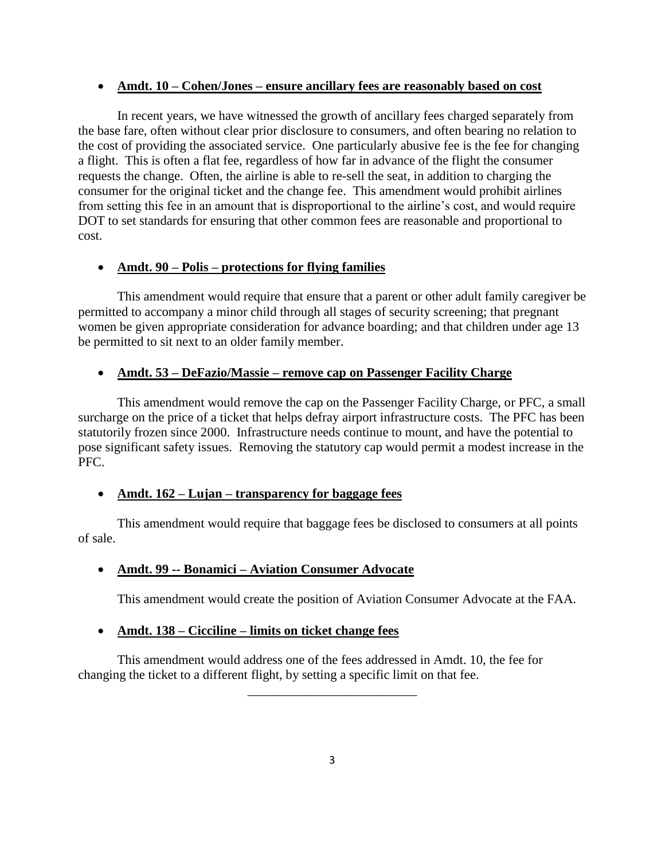#### **Amdt. 10 – Cohen/Jones – ensure ancillary fees are reasonably based on cost**

In recent years, we have witnessed the growth of ancillary fees charged separately from the base fare, often without clear prior disclosure to consumers, and often bearing no relation to the cost of providing the associated service. One particularly abusive fee is the fee for changing a flight. This is often a flat fee, regardless of how far in advance of the flight the consumer requests the change. Often, the airline is able to re-sell the seat, in addition to charging the consumer for the original ticket and the change fee. This amendment would prohibit airlines from setting this fee in an amount that is disproportional to the airline's cost, and would require DOT to set standards for ensuring that other common fees are reasonable and proportional to cost.

## **Amdt. 90 – Polis – protections for flying families**

This amendment would require that ensure that a parent or other adult family caregiver be permitted to accompany a minor child through all stages of security screening; that pregnant women be given appropriate consideration for advance boarding; and that children under age 13 be permitted to sit next to an older family member.

## **Amdt. 53 – DeFazio/Massie – remove cap on Passenger Facility Charge**

This amendment would remove the cap on the Passenger Facility Charge, or PFC, a small surcharge on the price of a ticket that helps defray airport infrastructure costs. The PFC has been statutorily frozen since 2000. Infrastructure needs continue to mount, and have the potential to pose significant safety issues. Removing the statutory cap would permit a modest increase in the PFC.

# **Amdt. 162 – Lujan – transparency for baggage fees**

This amendment would require that baggage fees be disclosed to consumers at all points of sale.

# **Amdt. 99 -- Bonamici – Aviation Consumer Advocate**

This amendment would create the position of Aviation Consumer Advocate at the FAA.

#### **Amdt. 138 – Cicciline – limits on ticket change fees**

This amendment would address one of the fees addressed in Amdt. 10, the fee for changing the ticket to a different flight, by setting a specific limit on that fee.

\_\_\_\_\_\_\_\_\_\_\_\_\_\_\_\_\_\_\_\_\_\_\_\_\_\_